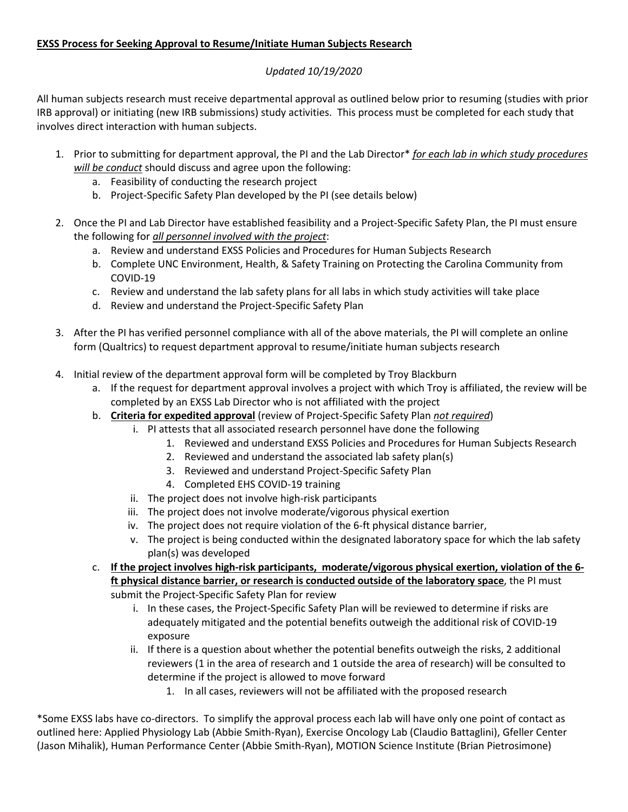## **EXSS Process for Seeking Approval to Resume/Initiate Human Subjects Research**

## *Updated 10/19/2020*

All human subjects research must receive departmental approval as outlined below prior to resuming (studies with prior IRB approval) or initiating (new IRB submissions) study activities. This process must be completed for each study that involves direct interaction with human subjects.

- 1. Prior to submitting for department approval, the PI and the Lab Director\* *for each lab in which study procedures will be conduct* should discuss and agree upon the following:
	- a. Feasibility of conducting the research project
	- b. Project-Specific Safety Plan developed by the PI (see details below)
- 2. Once the PI and Lab Director have established feasibility and a Project-Specific Safety Plan, the PI must ensure the following for *all personnel involved with the project*:
	- a. Review and understand EXSS Policies and Procedures for Human Subjects Research
	- b. Complete UNC Environment, Health, & Safety Training on Protecting the Carolina Community from COVID-19
	- c. Review and understand the lab safety plans for all labs in which study activities will take place
	- d. Review and understand the Project-Specific Safety Plan
- 3. After the PI has verified personnel compliance with all of the above materials, the PI will complete an online form (Qualtrics) to request department approval to resume/initiate human subjects research
- 4. Initial review of the department approval form will be completed by Troy Blackburn
	- a. If the request for department approval involves a project with which Troy is affiliated, the review will be completed by an EXSS Lab Director who is not affiliated with the project
	- b. **Criteria for expedited approval** (review of Project-Specific Safety Plan *not required*)
		- i. PI attests that all associated research personnel have done the following
			- 1. Reviewed and understand EXSS Policies and Procedures for Human Subjects Research
			- 2. Reviewed and understand the associated lab safety plan(s)
			- 3. Reviewed and understand Project-Specific Safety Plan
				- 4. Completed EHS COVID-19 training
		- ii. The project does not involve high-risk participants
		- iii. The project does not involve moderate/vigorous physical exertion
		- iv. The project does not require violation of the 6-ft physical distance barrier,
		- v. The project is being conducted within the designated laboratory space for which the lab safety plan(s) was developed
	- c. **If the project involves high-risk participants, moderate/vigorous physical exertion, violation of the 6 ft physical distance barrier, or research is conducted outside of the laboratory space**, the PI must submit the Project-Specific Safety Plan for review
		- i. In these cases, the Project-Specific Safety Plan will be reviewed to determine if risks are adequately mitigated and the potential benefits outweigh the additional risk of COVID-19 exposure
		- ii. If there is a question about whether the potential benefits outweigh the risks, 2 additional reviewers (1 in the area of research and 1 outside the area of research) will be consulted to determine if the project is allowed to move forward
			- 1. In all cases, reviewers will not be affiliated with the proposed research

\*Some EXSS labs have co-directors. To simplify the approval process each lab will have only one point of contact as outlined here: Applied Physiology Lab (Abbie Smith-Ryan), Exercise Oncology Lab (Claudio Battaglini), Gfeller Center (Jason Mihalik), Human Performance Center (Abbie Smith-Ryan), MOTION Science Institute (Brian Pietrosimone)